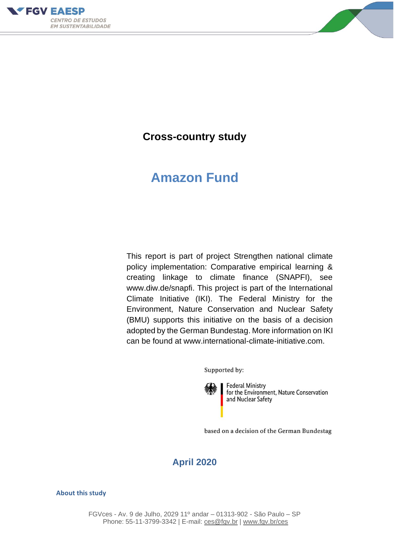



# **Cross-country study**

# **Amazon Fund**

This report is part of project Strengthen national climate policy implementation: Comparative empirical learning & creating linkage to climate finance (SNAPFI), see www.diw.de/snapfi. This project is part of the International Climate Initiative (IKI). The Federal Ministry for the Environment, Nature Conservation and Nuclear Safety (BMU) supports this initiative on the basis of a decision adopted by the German Bundestag. More information on IKI can be found at www.international-climate-initiative.com.

Supported by:

**Federal Ministry** for the Environment, Nature Conservation and Nuclear Safety

based on a decision of the German Bundestag

# **April 2020**

#### **About this study**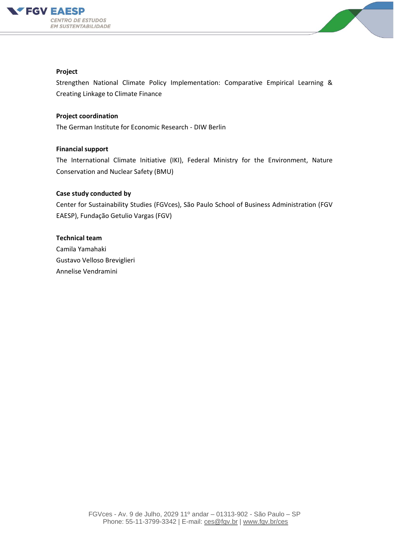



#### **Project**

Strengthen National Climate Policy Implementation: Comparative Empirical Learning & Creating Linkage to Climate Finance

#### **Project coordination**

The German Institute for Economic Research - DIW Berlin

#### **Financial support**

The International Climate Initiative (IKI), Federal Ministry for the Environment, Nature Conservation and Nuclear Safety (BMU)

#### **Case study conducted by**

Center for Sustainability Studies (FGVces), São Paulo School of Business Administration (FGV EAESP), Fundação Getulio Vargas (FGV)

#### **Technical team**

Camila Yamahaki Gustavo Velloso Breviglieri Annelise Vendramini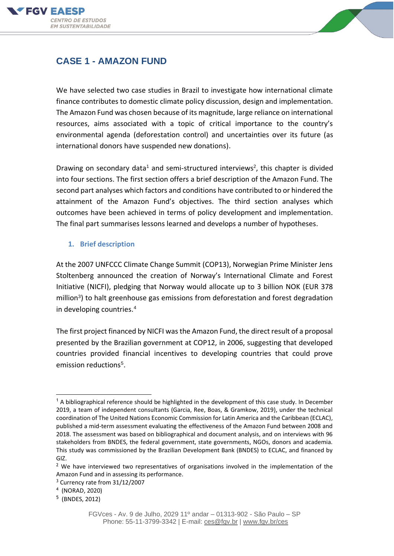



# **CASE 1 - AMAZON FUND**

We have selected two case studies in Brazil to investigate how international climate finance contributes to domestic climate policy discussion, design and implementation. The Amazon Fund was chosen because of its magnitude, large reliance on international resources, aims associated with a topic of critical importance to the country's environmental agenda (deforestation control) and uncertainties over its future (as international donors have suspended new donations).

Drawing on secondary data<sup>1</sup> and semi-structured interviews<sup>2</sup>, this chapter is divided into four sections. The first section offers a brief description of the Amazon Fund. The second part analyses which factors and conditions have contributed to or hindered the attainment of the Amazon Fund's objectives. The third section analyses which outcomes have been achieved in terms of policy development and implementation. The final part summarises lessons learned and develops a number of hypotheses.

# **1. Brief description**

At the 2007 UNFCCC Climate Change Summit (COP13), Norwegian Prime Minister Jens Stoltenberg announced the creation of Norway's International Climate and Forest Initiative (NICFI), pledging that Norway would allocate up to 3 billion NOK (EUR 378 million<sup>3</sup>) to halt greenhouse gas emissions from deforestation and forest degradation in developing countries. 4

The first project financed by NICFI was the Amazon Fund, the direct result of a proposal presented by the Brazilian government at COP12, in 2006, suggesting that developed countries provided financial incentives to developing countries that could prove emission reductions<sup>5</sup>.

 $3$  Currency rate from  $31/12/2007$ 

 $1$  A bibliographical reference should be highlighted in the development of this case study. In December 2019, a team of independent consultants (Garcia, Ree, Boas, & Gramkow, 2019), under the technical coordination of The United Nations Economic Commission for Latin America and the Caribbean (ECLAC), published a mid-term assessment evaluating the effectiveness of the Amazon Fund between 2008 and 2018. The assessment was based on bibliographical and document analysis, and on interviews with 96 stakeholders from BNDES, the federal government, state governments, NGOs, donors and academia. This study was commissioned by the Brazilian Development Bank (BNDES) to ECLAC, and financed by GIZ.

<sup>&</sup>lt;sup>2</sup> We have interviewed two representatives of organisations involved in the implementation of the Amazon Fund and in assessing its performance.

<sup>4</sup> (NORAD, 2020)

<sup>5</sup> (BNDES, 2012)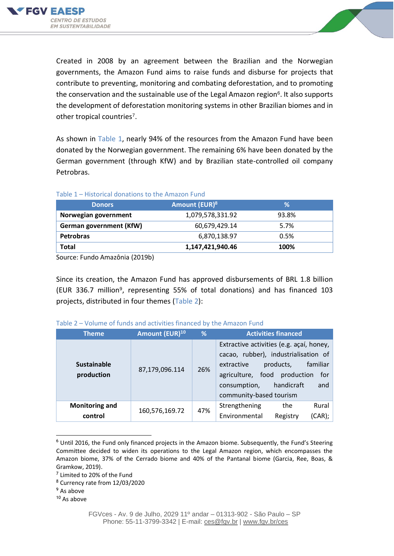



Created in 2008 by an agreement between the Brazilian and the Norwegian governments, the Amazon Fund aims to raise funds and disburse for projects that contribute to preventing, monitoring and combating deforestation, and to promoting the conservation and the sustainable use of the Legal Amazon region<sup>6</sup>. It also supports the development of deforestation monitoring systems in other Brazilian biomes and in other tropical countries<sup>7</sup>.

As shown in Table 1, nearly 94% of the resources from the Amazon Fund have been donated by the Norwegian government. The remaining 6% have been donated by the German government (through KfW) and by Brazilian state-controlled oil company Petrobras.

# Table 1 – Historical donations to the Amazon Fund

| <b>Donors</b>           | Amount (EUR) <sup>8</sup> | ℅     |
|-------------------------|---------------------------|-------|
| Norwegian government    | 1,079,578,331.92          | 93.8% |
| German government (KfW) | 60,679,429.14             | 5.7%  |
| <b>Petrobras</b>        | 6,870,138.97              | 0.5%  |
| Total                   | 1,147,421,940.46          | 100%  |

Source: Fundo Amazônia (2019b)

Since its creation, the Amazon Fund has approved disbursements of BRL 1.8 billion (EUR 336.7 million<sup>9</sup>, representing 55% of total donations) and has financed 103 projects, distributed in four themes (Table 2):

| <b>Theme</b>                     | Amount (EUR) <sup>10</sup> | %   | <b>Activities financed</b>                                                                                                                                                                                                     |
|----------------------------------|----------------------------|-----|--------------------------------------------------------------------------------------------------------------------------------------------------------------------------------------------------------------------------------|
| <b>Sustainable</b><br>production | 87,179,096.114             | 26% | Extractive activities (e.g. açaí, honey,<br>cacao, rubber), industrialisation of<br>familiar<br>products,<br>extractive<br>agriculture, food production<br>for<br>handicraft<br>and<br>consumption,<br>community-based tourism |
| <b>Monitoring and</b><br>control | 160,576,169.72             | 47% | Rural<br>Strengthening<br>the<br>(CAR);<br>Environmental<br>Registry                                                                                                                                                           |

## Table 2 – Volume of funds and activities financed by the Amazon Fund

- <sup>7</sup> Limited to 20% of the Fund
- <sup>8</sup> Currency rate from 12/03/2020
- <sup>9</sup> As above

<sup>10</sup> As above

<sup>6</sup> Until 2016, the Fund only financed projects in the Amazon biome. Subsequently, the Fund's Steering Committee decided to widen its operations to the Legal Amazon region, which encompasses the Amazon biome, 37% of the Cerrado biome and 40% of the Pantanal biome (Garcia, Ree, Boas, & Gramkow, 2019).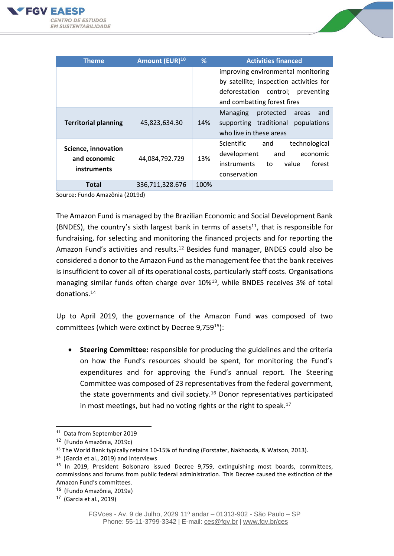



| <b>Theme</b>                                       | Amount (EUR) <sup>10</sup> | %    | <b>Activities financed</b>                                                                                                          |
|----------------------------------------------------|----------------------------|------|-------------------------------------------------------------------------------------------------------------------------------------|
|                                                    |                            |      | improving environmental monitoring                                                                                                  |
|                                                    |                            |      | by satellite; inspection activities for<br>deforestation control; preventing                                                        |
|                                                    |                            |      | and combatting forest fires                                                                                                         |
| <b>Territorial planning</b>                        | 45,823,634.30              | 14%  | protected<br><b>Managing</b><br>areas<br>and<br>traditional<br>supporting<br>populations<br>who live in these areas                 |
| Science, innovation<br>and economic<br>instruments | 44,084,792.729             | 13%  | technological<br><b>Scientific</b><br>and<br>development<br>and<br>economic<br>instruments<br>forest<br>value<br>to<br>conservation |
| Total                                              | 336,711,328.676            | 100% |                                                                                                                                     |

Source: Fundo Amazônia (2019d)

The Amazon Fund is managed by the Brazilian Economic and Social Development Bank (BNDES), the country's sixth largest bank in terms of assets<sup>11</sup>, that is responsible for fundraising, for selecting and monitoring the financed projects and for reporting the Amazon Fund's activities and results.<sup>12</sup> Besides fund manager, BNDES could also be considered a donor to the Amazon Fund as the management fee that the bank receives is insufficient to cover all of its operational costs, particularly staff costs. Organisations managing similar funds often charge over 10%13, while BNDES receives 3% of total donations. 14

Up to April 2019, the governance of the Amazon Fund was composed of two committees (which were extinct by Decree 9,759<sup>15</sup>):

• **Steering Committee:** responsible for producing the guidelines and the criteria on how the Fund's resources should be spent, for monitoring the Fund's expenditures and for approving the Fund's annual report. The Steering Committee was composed of 23 representatives from the federal government, the state governments and civil society.<sup>16</sup> Donor representatives participated in most meetings, but had no voting rights or the right to speak.<sup>17</sup>

<sup>&</sup>lt;sup>11</sup> Data from September 2019

<sup>12</sup> (Fundo Amazônia, 2019c)

<sup>&</sup>lt;sup>13</sup> The World Bank typically retains 10-15% of funding (Forstater, Nakhooda, & Watson, 2013).

<sup>14</sup> (Garcia et al., 2019) and interviews

<sup>&</sup>lt;sup>15</sup> In 2019, President Bolsonaro issued Decree 9,759, extinguishing most boards, committees, commissions and forums from public federal administration. This Decree caused the extinction of the Amazon Fund's committees.

<sup>16</sup> (Fundo Amazônia, 2019a)

<sup>17</sup> (Garcia et al., 2019)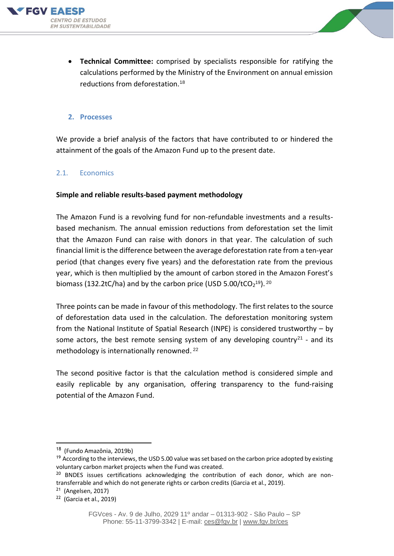



• **Technical Committee:** comprised by specialists responsible for ratifying the calculations performed by the Ministry of the Environment on annual emission reductions from deforestation.<sup>18</sup>

#### **2. Processes**

We provide a brief analysis of the factors that have contributed to or hindered the attainment of the goals of the Amazon Fund up to the present date.

#### 2.1. Economics

#### **Simple and reliable results-based payment methodology**

The Amazon Fund is a revolving fund for non-refundable investments and a resultsbased mechanism. The annual emission reductions from deforestation set the limit that the Amazon Fund can raise with donors in that year. The calculation of such financial limit is the difference between the average deforestation rate from a ten-year period (that changes every five years) and the deforestation rate from the previous year, which is then multiplied by the amount of carbon stored in the Amazon Forest's biomass (132.2tC/ha) and by the carbon price (USD 5.00/tCO<sub>2</sub><sup>19</sup>).<sup>20</sup>

Three points can be made in favour of this methodology. The first relates to the source of deforestation data used in the calculation. The deforestation monitoring system from the National Institute of Spatial Research (INPE) is considered trustworthy – by some actors, the best remote sensing system of any developing country<sup>21</sup> - and its methodology is internationally renowned. 22

The second positive factor is that the calculation method is considered simple and easily replicable by any organisation, offering transparency to the fund-raising potential of the Amazon Fund.

<sup>&</sup>lt;sup>18</sup> (Fundo Amazônia, 2019b)

<sup>&</sup>lt;sup>19</sup> According to the interviews, the USD 5.00 value was set based on the carbon price adopted by existing voluntary carbon market projects when the Fund was created.

 $20$  BNDES issues certifications acknowledging the contribution of each donor, which are nontransferrable and which do not generate rights or carbon credits (Garcia et al., 2019).

<sup>&</sup>lt;sup>21</sup> (Angelsen, 2017)

<sup>&</sup>lt;sup>22</sup> (Garcia et al., 2019)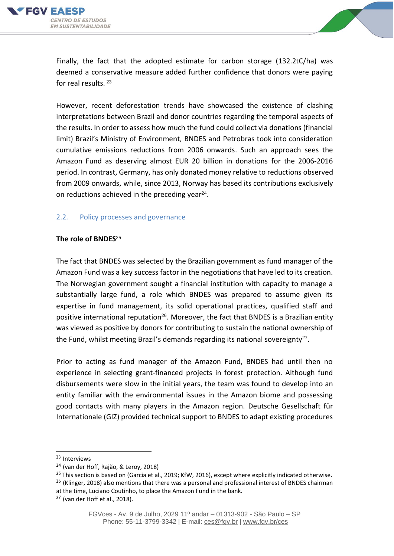



Finally, the fact that the adopted estimate for carbon storage (132.2tC/ha) was deemed a conservative measure added further confidence that donors were paying for real results. <sup>23</sup>

However, recent deforestation trends have showcased the existence of clashing interpretations between Brazil and donor countries regarding the temporal aspects of the results. In order to assess how much the fund could collect via donations (financial limit) Brazil's Ministry of Environment, BNDES and Petrobras took into consideration cumulative emissions reductions from 2006 onwards. Such an approach sees the Amazon Fund as deserving almost EUR 20 billion in donations for the 2006-2016 period. In contrast, Germany, has only donated money relative to reductions observed from 2009 onwards, while, since 2013, Norway has based its contributions exclusively on reductions achieved in the preceding year $^{24}$ .

#### 2.2. Policy processes and governance

#### **The role of BNDES**<sup>25</sup>

The fact that BNDES was selected by the Brazilian government as fund manager of the Amazon Fund was a key success factor in the negotiations that have led to its creation. The Norwegian government sought a financial institution with capacity to manage a substantially large fund, a role which BNDES was prepared to assume given its expertise in fund management, its solid operational practices, qualified staff and positive international reputation<sup>26</sup>. Moreover, the fact that BNDES is a Brazilian entity was viewed as positive by donors for contributing to sustain the national ownership of the Fund, whilst meeting Brazil's demands regarding its national sovereignty<sup>27</sup>.

Prior to acting as fund manager of the Amazon Fund, BNDES had until then no experience in selecting grant-financed projects in forest protection. Although fund disbursements were slow in the initial years, the team was found to develop into an entity familiar with the environmental issues in the Amazon biome and possessing good contacts with many players in the Amazon region. Deutsche Gesellschaft für Internationale (GIZ) provided technical support to BNDES to adapt existing procedures

<sup>23</sup> Interviews

<sup>24</sup> (van der Hoff, Rajão, & Leroy, 2018)

 $25$  This section is based on (Garcia et al., 2019; KfW, 2016), except where explicitly indicated otherwise.

 $26$  (Klinger, 2018) also mentions that there was a personal and professional interest of BNDES chairman

at the time, Luciano Coutinho, to place the Amazon Fund in the bank.

 $27$  (van der Hoff et al., 2018).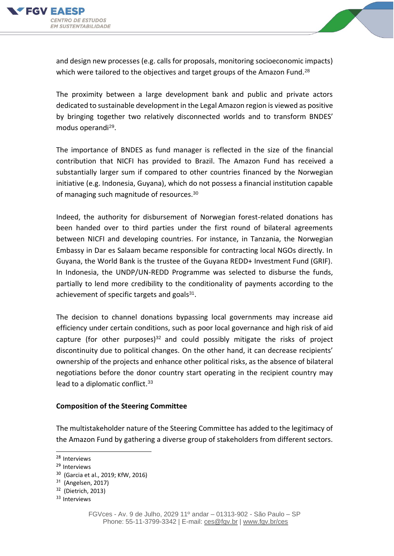



and design new processes (e.g. calls for proposals, monitoring socioeconomic impacts) which were tailored to the objectives and target groups of the Amazon Fund.<sup>28</sup>

The proximity between a large development bank and public and private actors dedicated to sustainable development in the Legal Amazon region is viewed as positive by bringing together two relatively disconnected worlds and to transform BNDES' modus operandi<sup>29</sup>.

The importance of BNDES as fund manager is reflected in the size of the financial contribution that NICFI has provided to Brazil. The Amazon Fund has received a substantially larger sum if compared to other countries financed by the Norwegian initiative (e.g. Indonesia, Guyana), which do not possess a financial institution capable of managing such magnitude of resources.<sup>30</sup>

Indeed, the authority for disbursement of Norwegian forest-related donations has been handed over to third parties under the first round of bilateral agreements between NICFI and developing countries. For instance, in Tanzania, the Norwegian Embassy in Dar es Salaam became responsible for contracting local NGOs directly. In Guyana, the World Bank is the trustee of the Guyana REDD+ Investment Fund (GRIF). In Indonesia, the UNDP/UN-REDD Programme was selected to disburse the funds, partially to lend more credibility to the conditionality of payments according to the achievement of specific targets and goals<sup>31</sup>.

The decision to channel donations bypassing local governments may increase aid efficiency under certain conditions, such as poor local governance and high risk of aid capture (for other purposes) $32$  and could possibly mitigate the risks of project discontinuity due to political changes. On the other hand, it can decrease recipients' ownership of the projects and enhance other political risks, as the absence of bilateral negotiations before the donor country start operating in the recipient country may lead to a diplomatic conflict.<sup>33</sup>

#### **Composition of the Steering Committee**

The multistakeholder nature of the Steering Committee has added to the legitimacy of the Amazon Fund by gathering a diverse group of stakeholders from different sectors.

<sup>28</sup> Interviews

<sup>29</sup> Interviews

<sup>&</sup>lt;sup>30</sup> (Garcia et al., 2019; KfW, 2016)

<sup>&</sup>lt;sup>31</sup> (Angelsen, 2017)

<sup>&</sup>lt;sup>32</sup> (Dietrich, 2013)

<sup>33</sup> Interviews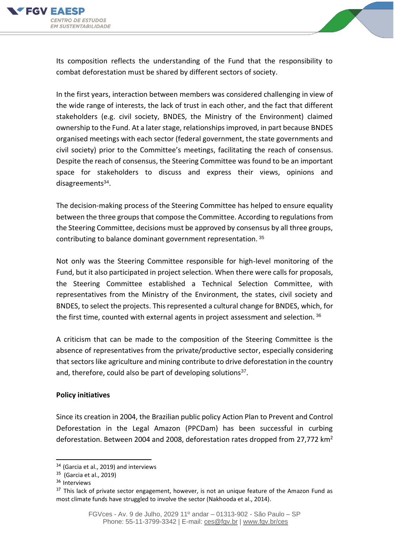



Its composition reflects the understanding of the Fund that the responsibility to combat deforestation must be shared by different sectors of society.

In the first years, interaction between members was considered challenging in view of the wide range of interests, the lack of trust in each other, and the fact that different stakeholders (e.g. civil society, BNDES, the Ministry of the Environment) claimed ownership to the Fund. At a later stage, relationships improved, in part because BNDES organised meetings with each sector (federal government, the state governments and civil society) prior to the Committee's meetings, facilitating the reach of consensus. Despite the reach of consensus, the Steering Committee was found to be an important space for stakeholders to discuss and express their views, opinions and disagreements<sup>34</sup>.

The decision-making process of the Steering Committee has helped to ensure equality between the three groups that compose the Committee. According to regulations from the Steering Committee, decisions must be approved by consensus by all three groups, contributing to balance dominant government representation. <sup>35</sup>

Not only was the Steering Committee responsible for high-level monitoring of the Fund, but it also participated in project selection. When there were calls for proposals, the Steering Committee established a Technical Selection Committee, with representatives from the Ministry of the Environment, the states, civil society and BNDES, to select the projects. This represented a cultural change for BNDES, which, for the first time, counted with external agents in project assessment and selection. <sup>36</sup>

A criticism that can be made to the composition of the Steering Committee is the absence of representatives from the private/productive sector, especially considering that sectors like agriculture and mining contribute to drive deforestation in the country and, therefore, could also be part of developing solutions<sup>37</sup>.

#### **Policy initiatives**

Since its creation in 2004, the Brazilian public policy Action Plan to Prevent and Control Deforestation in the Legal Amazon (PPCDam) has been successful in curbing deforestation. Between 2004 and 2008, deforestation rates dropped from 27,772  $km<sup>2</sup>$ 

<sup>&</sup>lt;sup>34</sup> (Garcia et al., 2019) and interviews

<sup>&</sup>lt;sup>35</sup> (Garcia et al., 2019)

<sup>36</sup> Interviews

 $37$  This lack of private sector engagement, however, is not an unique feature of the Amazon Fund as most climate funds have struggled to involve the sector (Nakhooda et al., 2014).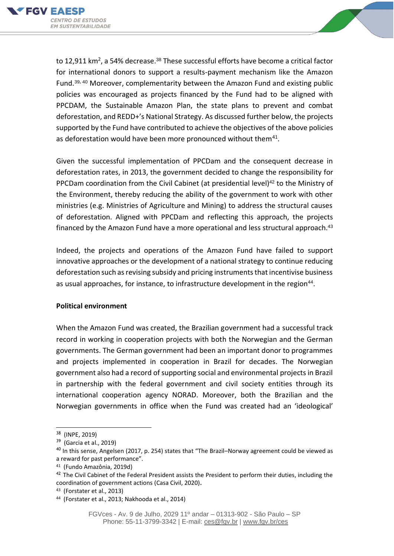



to 12,911 km<sup>2</sup>, a 54% decrease.<sup>38</sup> These successful efforts have become a critical factor for international donors to support a results-payment mechanism like the Amazon Fund.39, <sup>40</sup> Moreover, complementarity between the Amazon Fund and existing public policies was encouraged as projects financed by the Fund had to be aligned with PPCDAM, the Sustainable Amazon Plan, the state plans to prevent and combat deforestation, and REDD+'s National Strategy. As discussed further below, the projects supported by the Fund have contributed to achieve the objectives of the above policies as deforestation would have been more pronounced without them $41$ .

Given the successful implementation of PPCDam and the consequent decrease in deforestation rates, in 2013, the government decided to change the responsibility for PPCDam coordination from the Civil Cabinet (at presidential level)<sup>42</sup> to the Ministry of the Environment, thereby reducing the ability of the government to work with other ministries (e.g. Ministries of Agriculture and Mining) to address the structural causes of deforestation. Aligned with PPCDam and reflecting this approach, the projects financed by the Amazon Fund have a more operational and less structural approach.<sup>43</sup>

Indeed, the projects and operations of the Amazon Fund have failed to support innovative approaches or the development of a national strategy to continue reducing deforestation such as revising subsidy and pricing instruments that incentivise business as usual approaches, for instance, to infrastructure development in the region<sup>44</sup>.

#### **Political environment**

When the Amazon Fund was created, the Brazilian government had a successful track record in working in cooperation projects with both the Norwegian and the German governments. The German government had been an important donor to programmes and projects implemented in cooperation in Brazil for decades. The Norwegian government also had a record of supporting social and environmental projects in Brazil in partnership with the federal government and civil society entities through its international cooperation agency NORAD. Moreover, both the Brazilian and the Norwegian governments in office when the Fund was created had an 'ideological'

<sup>38</sup> (INPE, 2019)

<sup>&</sup>lt;sup>39</sup> (Garcia et al., 2019)

 $40$  In this sense, Angelsen (2017, p. 254) states that "The Brazil–Norway agreement could be viewed as a reward for past performance".

<sup>41</sup> (Fundo Amazônia, 2019d)

<sup>&</sup>lt;sup>42</sup> The Civil Cabinet of the Federal President assists the President to perform their duties, including the coordination of government actions (Casa Civil, 2020).

<sup>43</sup> (Forstater et al., 2013)

<sup>44</sup> (Forstater et al., 2013; Nakhooda et al., 2014)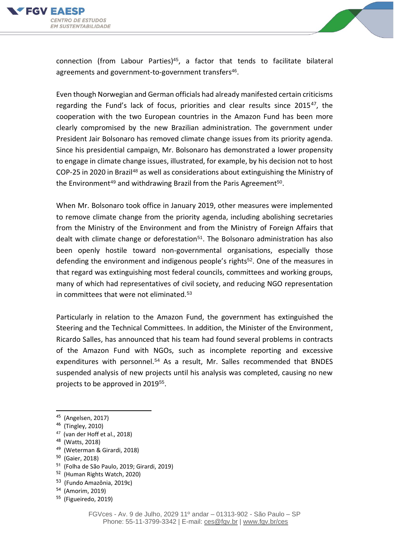



connection (from Labour Parties) $45$ , a factor that tends to facilitate bilateral agreements and government-to-government transfers<sup>46</sup>.

Even though Norwegian and German officials had already manifested certain criticisms regarding the Fund's lack of focus, priorities and clear results since  $2015^{47}$ , the cooperation with the two European countries in the Amazon Fund has been more clearly compromised by the new Brazilian administration. The government under President Jair Bolsonaro has removed climate change issues from its priority agenda. Since his presidential campaign, Mr. Bolsonaro has demonstrated a lower propensity to engage in climate change issues, illustrated, for example, by his decision not to host COP-25 in 2020 in Brazil<sup>48</sup> as well as considerations about extinguishing the Ministry of the Environment<sup>49</sup> and withdrawing Brazil from the Paris Agreement<sup>50</sup>.

When Mr. Bolsonaro took office in January 2019, other measures were implemented to remove climate change from the priority agenda, including abolishing secretaries from the Ministry of the Environment and from the Ministry of Foreign Affairs that dealt with climate change or deforestation<sup>51</sup>. The Bolsonaro administration has also been openly hostile toward non-governmental organisations, especially those defending the environment and indigenous people's rights<sup>52</sup>. One of the measures in that regard was extinguishing most federal councils, committees and working groups, many of which had representatives of civil society, and reducing NGO representation in committees that were not eliminated.<sup>53</sup>

Particularly in relation to the Amazon Fund, the government has extinguished the Steering and the Technical Committees. In addition, the Minister of the Environment, Ricardo Salles, has announced that his team had found several problems in contracts of the Amazon Fund with NGOs, such as incomplete reporting and excessive expenditures with personnel.<sup>54</sup> As a result, Mr. Salles recommended that BNDES suspended analysis of new projects until his analysis was completed, causing no new projects to be approved in 2019<sup>55</sup>.

<sup>49</sup> (Weterman & Girardi, 2018)

<sup>53</sup> (Fundo Amazônia, 2019c)

<sup>45</sup> (Angelsen, 2017)

<sup>46</sup> (Tingley, 2010)

<sup>47</sup> (van der Hoff et al., 2018)

<sup>48</sup> (Watts, 2018)

<sup>&</sup>lt;sup>50</sup> (Gaier, 2018)

<sup>51</sup> (Folha de São Paulo, 2019; Girardi, 2019)

<sup>52</sup> (Human Rights Watch, 2020)

<sup>54</sup> (Amorim, 2019)

<sup>&</sup>lt;sup>55</sup> (Figueiredo, 2019)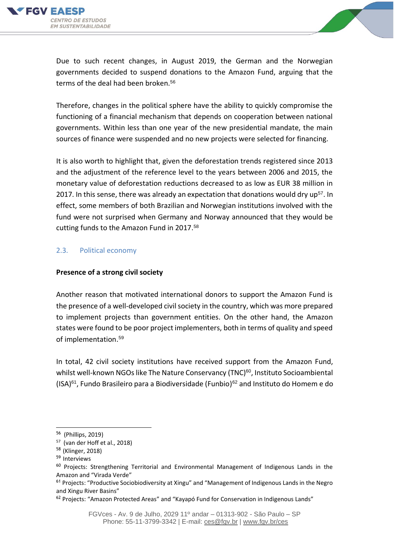



Due to such recent changes, in August 2019, the German and the Norwegian governments decided to suspend donations to the Amazon Fund, arguing that the terms of the deal had been broken.<sup>56</sup>

Therefore, changes in the political sphere have the ability to quickly compromise the functioning of a financial mechanism that depends on cooperation between national governments. Within less than one year of the new presidential mandate, the main sources of finance were suspended and no new projects were selected for financing.

It is also worth to highlight that, given the deforestation trends registered since 2013 and the adjustment of the reference level to the years between 2006 and 2015, the monetary value of deforestation reductions decreased to as low as EUR 38 million in 2017. In this sense, there was already an expectation that donations would dry up<sup>57</sup>. In effect, some members of both Brazilian and Norwegian institutions involved with the fund were not surprised when Germany and Norway announced that they would be cutting funds to the Amazon Fund in 2017. 58

#### 2.3. Political economy

#### **Presence of a strong civil society**

Another reason that motivated international donors to support the Amazon Fund is the presence of a well-developed civil society in the country, which was more prepared to implement projects than government entities. On the other hand, the Amazon states were found to be poor project implementers, both in terms of quality and speed of implementation.<sup>59</sup>

In total, 42 civil society institutions have received support from the Amazon Fund, whilst well-known NGOs like The Nature Conservancy (TNC)<sup>60</sup>, Instituto Socioambiental  $(ISA)^{61}$ , Fundo Brasileiro para a Biodiversidade (Funbio)<sup>62</sup> and Instituto do Homem e do

<sup>56</sup> (Phillips, 2019)

<sup>57</sup> (van der Hoff et al., 2018)

<sup>58</sup> (Klinger, 2018)

<sup>59</sup> Interviews

<sup>&</sup>lt;sup>60</sup> Projects: Strengthening Territorial and Environmental Management of Indigenous Lands in the Amazon and "Virada Verde"

<sup>&</sup>lt;sup>61</sup> Projects: "Productive Sociobiodiversity at Xingu" and "Management of Indigenous Lands in the Negro and Xingu River Basins"

<sup>&</sup>lt;sup>62</sup> Projects: "Amazon Protected Areas" and "Kayapó Fund for Conservation in Indigenous Lands"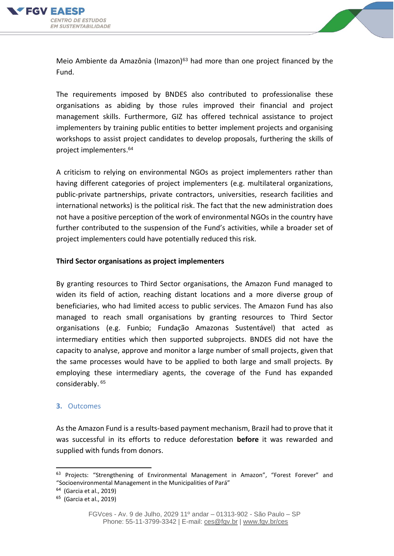



Meio Ambiente da Amazônia (Imazon) $63$  had more than one project financed by the Fund.

The requirements imposed by BNDES also contributed to professionalise these organisations as abiding by those rules improved their financial and project management skills. Furthermore, GIZ has offered technical assistance to project implementers by training public entities to better implement projects and organising workshops to assist project candidates to develop proposals, furthering the skills of project implementers. 64

A criticism to relying on environmental NGOs as project implementers rather than having different categories of project implementers (e.g. multilateral organizations, public-private partnerships, private contractors, universities, research facilities and international networks) is the political risk. The fact that the new administration does not have a positive perception of the work of environmental NGOs in the country have further contributed to the suspension of the Fund's activities, while a broader set of project implementers could have potentially reduced this risk.

#### **Third Sector organisations as project implementers**

By granting resources to Third Sector organisations, the Amazon Fund managed to widen its field of action, reaching distant locations and a more diverse group of beneficiaries, who had limited access to public services. The Amazon Fund has also managed to reach small organisations by granting resources to Third Sector organisations (e.g. Funbio; Fundação Amazonas Sustentável) that acted as intermediary entities which then supported subprojects. BNDES did not have the capacity to analyse, approve and monitor a large number of small projects, given that the same processes would have to be applied to both large and small projects. By employing these intermediary agents, the coverage of the Fund has expanded considerably. 65

#### **3.** Outcomes

As the Amazon Fund is a results-based payment mechanism, Brazil had to prove that it was successful in its efforts to reduce deforestation **before** it was rewarded and supplied with funds from donors.

<sup>&</sup>lt;sup>63</sup> Projects: "Strengthening of Environmental Management in Amazon", "Forest Forever" and "Socioenvironmental Management in the Municipalities of Pará"

<sup>&</sup>lt;sup>64</sup> (Garcia et al., 2019)

<sup>&</sup>lt;sup>65</sup> (Garcia et al., 2019)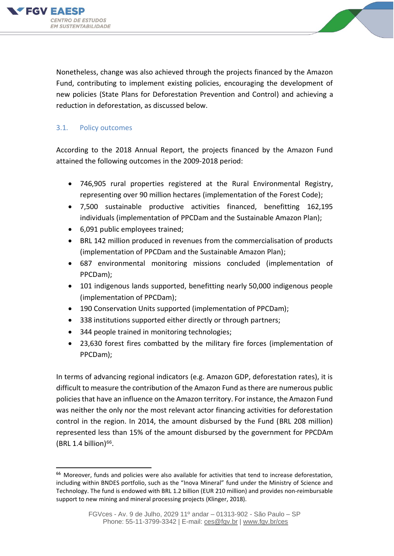



Nonetheless, change was also achieved through the projects financed by the Amazon Fund, contributing to implement existing policies, encouraging the development of new policies (State Plans for Deforestation Prevention and Control) and achieving a reduction in deforestation, as discussed below.

## 3.1. Policy outcomes

According to the 2018 Annual Report, the projects financed by the Amazon Fund attained the following outcomes in the 2009-2018 period:

- 746,905 rural properties registered at the Rural Environmental Registry, representing over 90 million hectares (implementation of the Forest Code);
- 7,500 sustainable productive activities financed, benefitting 162,195 individuals (implementation of PPCDam and the Sustainable Amazon Plan);
- 6,091 public employees trained;
- BRL 142 million produced in revenues from the commercialisation of products (implementation of PPCDam and the Sustainable Amazon Plan);
- 687 environmental monitoring missions concluded (implementation of PPCDam);
- 101 indigenous lands supported, benefitting nearly 50,000 indigenous people (implementation of PPCDam);
- 190 Conservation Units supported (implementation of PPCDam);
- 338 institutions supported either directly or through partners;
- 344 people trained in monitoring technologies;
- 23,630 forest fires combatted by the military fire forces (implementation of PPCDam);

In terms of advancing regional indicators (e.g. Amazon GDP, deforestation rates), it is difficult to measure the contribution of the Amazon Fund as there are numerous public policies that have an influence on the Amazon territory. For instance, the Amazon Fund was neither the only nor the most relevant actor financing activities for deforestation control in the region. In 2014, the amount disbursed by the Fund (BRL 208 million) represented less than 15% of the amount disbursed by the government for PPCDAm  $(BRL 1.4 billion)^{66}$ .

<sup>&</sup>lt;sup>66</sup> Moreover, funds and policies were also available for activities that tend to increase deforestation, including within BNDES portfolio, such as the "Inova Mineral" fund under the Ministry of Science and Technology. The fund is endowed with BRL 1.2 billion (EUR 210 million) and provides non-reimbursable support to new mining and mineral processing projects (Klinger, 2018).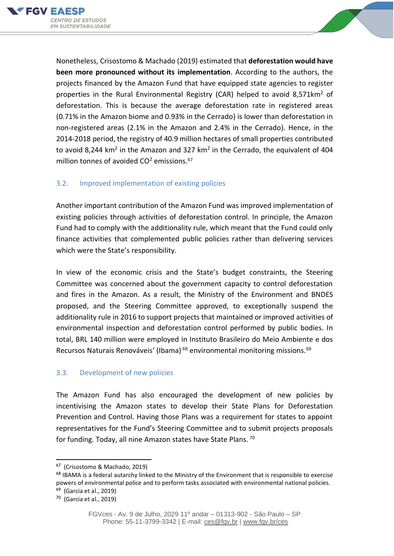



Nonetheless, Crisostomo & Machado (2019) estimated that **deforestation would have been more pronounced without its implementation**. According to the authors, the projects financed by the Amazon Fund that have equipped state agencies to register properties in the Rural Environmental Registry (CAR) helped to avoid 8,571 km<sup>2</sup> of deforestation. This is because the average deforestation rate in registered areas (0.71% in the Amazon biome and 0.93% in the Cerrado) is lower than deforestation in non-registered areas (2.1% in the Amazon and 2.4% in the Cerrado). Hence, in the 2014-2018 period, the registry of 40.9 million hectares of small properties contributed to avoid 8,244 km<sup>2</sup> in the Amazon and 327 km<sup>2</sup> in the Cerrado, the equivalent of 404 million tonnes of avoided  $CO<sup>2</sup>$  emissions.<sup>67</sup>

## 3.2. Improved implementation of existing policies

Another important contribution of the Amazon Fund was improved implementation of existing policies through activities of deforestation control. In principle, the Amazon Fund had to comply with the additionality rule, which meant that the Fund could only finance activities that complemented public policies rather than delivering services which were the State's responsibility.

In view of the economic crisis and the State's budget constraints, the Steering Committee was concerned about the government capacity to control deforestation and fires in the Amazon. As a result, the Ministry of the Environment and BNDES proposed, and the Steering Committee approved, to exceptionally suspend the additionality rule in 2016 to support projects that maintained or improved activities of environmental inspection and deforestation control performed by public bodies. In total, BRL 140 million were employed in Instituto Brasileiro do Meio Ambiente e dos Recursos Naturais Renováveis' (Ibama)<sup>68</sup> environmental monitoring missions.<sup>69</sup>

### 3.3. Development of new policies

The Amazon Fund has also encouraged the development of new policies by incentivising the Amazon states to develop their State Plans for Deforestation Prevention and Control. Having those Plans was a requirement for states to appoint representatives for the Fund's Steering Committee and to submit projects proposals for funding. Today, all nine Amazon states have State Plans. <sup>70</sup>

<sup>&</sup>lt;sup>67</sup> (Crisostomo & Machado, 2019)

<sup>&</sup>lt;sup>68</sup> IBAMA is a federal autarchy linked to the Ministry of the Environment that is responsible to exercise powers of environmental police and to perform tasks associated with environmental national policies.

<sup>&</sup>lt;sup>69</sup> (Garcia et al., 2019)

<sup>70</sup> (Garcia et al., 2019)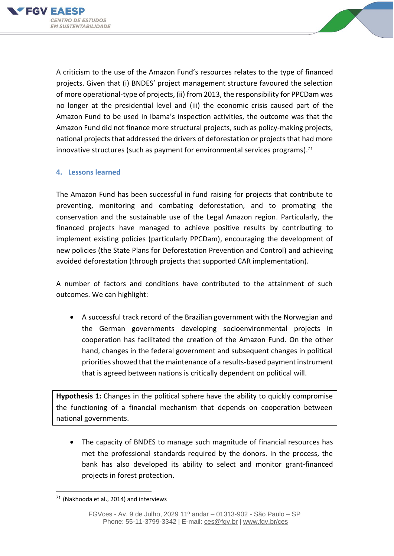



A criticism to the use of the Amazon Fund's resources relates to the type of financed projects. Given that (i) BNDES' project management structure favoured the selection of more operational-type of projects, (ii) from 2013, the responsibility for PPCDam was no longer at the presidential level and (iii) the economic crisis caused part of the Amazon Fund to be used in Ibama's inspection activities, the outcome was that the Amazon Fund did not finance more structural projects, such as policy-making projects, national projects that addressed the drivers of deforestation or projects that had more innovative structures (such as payment for environmental services programs). 71

#### **4. Lessons learned**

The Amazon Fund has been successful in fund raising for projects that contribute to preventing, monitoring and combating deforestation, and to promoting the conservation and the sustainable use of the Legal Amazon region. Particularly, the financed projects have managed to achieve positive results by contributing to implement existing policies (particularly PPCDam), encouraging the development of new policies (the State Plans for Deforestation Prevention and Control) and achieving avoided deforestation (through projects that supported CAR implementation).

A number of factors and conditions have contributed to the attainment of such outcomes. We can highlight:

• A successful track record of the Brazilian government with the Norwegian and the German governments developing socioenvironmental projects in cooperation has facilitated the creation of the Amazon Fund. On the other hand, changes in the federal government and subsequent changes in political priorities showed that the maintenance of a results-based payment instrument that is agreed between nations is critically dependent on political will.

**Hypothesis 1:** Changes in the political sphere have the ability to quickly compromise the functioning of a financial mechanism that depends on cooperation between national governments.

• The capacity of BNDES to manage such magnitude of financial resources has met the professional standards required by the donors. In the process, the bank has also developed its ability to select and monitor grant-financed projects in forest protection.

<sup>71</sup> (Nakhooda et al., 2014) and interviews

FGVces - Av. 9 de Julho, 2029 11º andar – 01313-902 - São Paulo – SP Phone: 55-11-3799-3342 | E-mail: [ces@fgv.br](mailto:ces@fgv.br) | [www.fgv.br/ces](http://www.fgv.br/ces)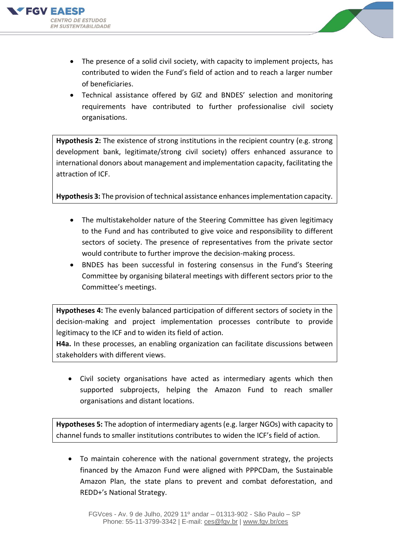



- The presence of a solid civil society, with capacity to implement projects, has contributed to widen the Fund's field of action and to reach a larger number of beneficiaries.
- Technical assistance offered by GIZ and BNDES' selection and monitoring requirements have contributed to further professionalise civil society organisations.

**Hypothesis 2:** The existence of strong institutions in the recipient country (e.g. strong development bank, legitimate/strong civil society) offers enhanced assurance to international donors about management and implementation capacity, facilitating the attraction of ICF.

**Hypothesis 3:** The provision of technical assistance enhances implementation capacity.

- The multistakeholder nature of the Steering Committee has given legitimacy to the Fund and has contributed to give voice and responsibility to different sectors of society. The presence of representatives from the private sector would contribute to further improve the decision-making process.
- BNDES has been successful in fostering consensus in the Fund's Steering Committee by organising bilateral meetings with different sectors prior to the Committee's meetings.

**Hypotheses 4:** The evenly balanced participation of different sectors of society in the decision-making and project implementation processes contribute to provide legitimacy to the ICF and to widen its field of action.

**H4a.** In these processes, an enabling organization can facilitate discussions between stakeholders with different views.

• Civil society organisations have acted as intermediary agents which then supported subprojects, helping the Amazon Fund to reach smaller organisations and distant locations.

**Hypotheses 5:** The adoption of intermediary agents (e.g. larger NGOs) with capacity to channel funds to smaller institutions contributes to widen the ICF's field of action.

• To maintain coherence with the national government strategy, the projects financed by the Amazon Fund were aligned with PPPCDam, the Sustainable Amazon Plan, the state plans to prevent and combat deforestation, and REDD+'s National Strategy.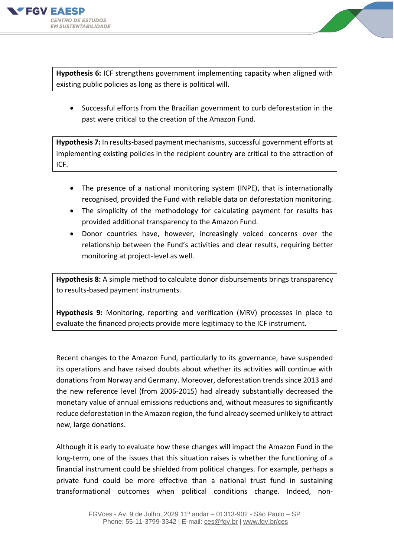



**Hypothesis 6:** ICF strengthens government implementing capacity when aligned with existing public policies as long as there is political will.

• Successful efforts from the Brazilian government to curb deforestation in the past were critical to the creation of the Amazon Fund.

**Hypothesis 7:** In results-based payment mechanisms, successful government efforts at implementing existing policies in the recipient country are critical to the attraction of ICF.

- The presence of a national monitoring system (INPE), that is internationally recognised, provided the Fund with reliable data on deforestation monitoring.
- The simplicity of the methodology for calculating payment for results has provided additional transparency to the Amazon Fund.
- Donor countries have, however, increasingly voiced concerns over the relationship between the Fund's activities and clear results, requiring better monitoring at project-level as well.

**Hypothesis 8:** A simple method to calculate donor disbursements brings transparency to results-based payment instruments.

**Hypothesis 9:** Monitoring, reporting and verification (MRV) processes in place to evaluate the financed projects provide more legitimacy to the ICF instrument.

Recent changes to the Amazon Fund, particularly to its governance, have suspended its operations and have raised doubts about whether its activities will continue with donations from Norway and Germany. Moreover, deforestation trends since 2013 and the new reference level (from 2006-2015) had already substantially decreased the monetary value of annual emissions reductions and, without measures to significantly reduce deforestation in the Amazon region, the fund already seemed unlikely to attract new, large donations.

Although it is early to evaluate how these changes will impact the Amazon Fund in the long-term, one of the issues that this situation raises is whether the functioning of a financial instrument could be shielded from political changes. For example, perhaps a private fund could be more effective than a national trust fund in sustaining transformational outcomes when political conditions change. Indeed, non-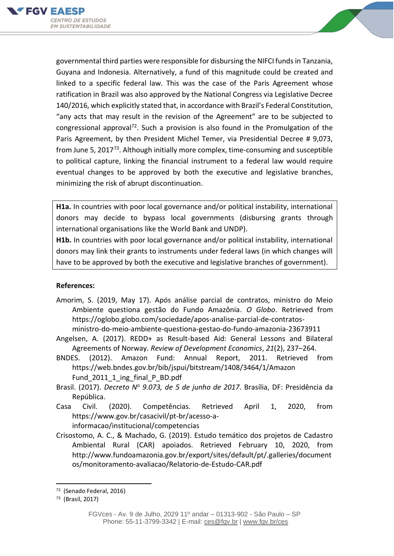

governmental third parties were responsible for disbursing the NIFCI funds in Tanzania, Guyana and Indonesia. Alternatively, a fund of this magnitude could be created and linked to a specific federal law. This was the case of the Paris Agreement whose ratification in Brazil was also approved by the National Congress via Legislative Decree 140/2016, which explicitly stated that, in accordance with Brazil's Federal Constitution, "any acts that may result in the revision of the Agreement" are to be subjected to congressional approval<sup>72</sup>. Such a provision is also found in the Promulgation of the Paris Agreement, by then President Michel Temer, via Presidential Decree # 9,073, from June 5, 2017<sup>73</sup>. Although initially more complex, time-consuming and susceptible to political capture, linking the financial instrument to a federal law would require eventual changes to be approved by both the executive and legislative branches, minimizing the risk of abrupt discontinuation.

**H1a.** In countries with poor local governance and/or political instability, international donors may decide to bypass local governments (disbursing grants through international organisations like the World Bank and UNDP).

**H1b.** In countries with poor local governance and/or political instability, international donors may link their grants to instruments under federal laws (in which changes will have to be approved by both the executive and legislative branches of government).

### **References:**

- Amorim, S. (2019, May 17). Após análise parcial de contratos, ministro do Meio Ambiente questiona gestão do Fundo Amazônia. *O Globo*. Retrieved from https://oglobo.globo.com/sociedade/apos-analise-parcial-de-contratosministro-do-meio-ambiente-questiona-gestao-do-fundo-amazonia-23673911
- Angelsen, A. (2017). REDD+ as Result-based Aid: General Lessons and Bilateral Agreements of Norway. *Review of Development Economics*, *21*(2), 237–264.
- BNDES. (2012). Amazon Fund: Annual Report, 2011. Retrieved from https://web.bndes.gov.br/bib/jspui/bitstream/1408/3464/1/Amazon Fund 2011 1 ing final P BD.pdf
- Brasil. (2017). *Decreto N<sup>o</sup> 9.073, de 5 de junho de 2017*. Brasília, DF: Presidência da República.
- Casa Civil. (2020). Competências. Retrieved April 1, 2020, from https://www.gov.br/casacivil/pt-br/acesso-ainformacao/institucional/competencias
- Crisostomo, A. C., & Machado, G. (2019). Estudo temático dos projetos de Cadastro Ambiental Rural (CAR) apoiados. Retrieved February 10, 2020, from http://www.fundoamazonia.gov.br/export/sites/default/pt/.galleries/document os/monitoramento-avaliacao/Relatorio-de-Estudo-CAR.pdf

<sup>72</sup> (Senado Federal, 2016)

<sup>73</sup> (Brasil, 2017)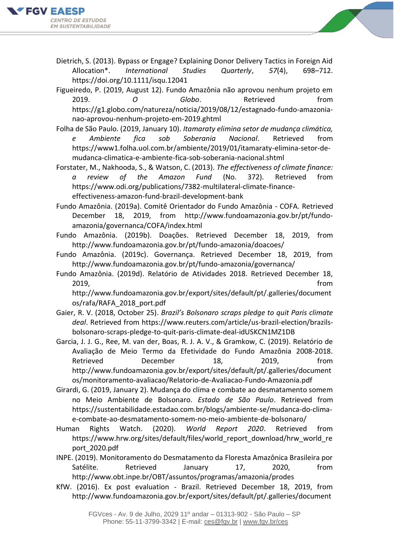

Dietrich, S. (2013). Bypass or Engage? Explaining Donor Delivery Tactics in Foreign Aid Allocation\*. *International Studies Quarterly*, *57*(4), 698–712. https://doi.org/10.1111/isqu.12041

Figueiredo, P. (2019, August 12). Fundo Amazônia não aprovou nenhum projeto em 2019. *O Globo*. Retrieved from https://g1.globo.com/natureza/noticia/2019/08/12/estagnado-fundo-amazonianao-aprovou-nenhum-projeto-em-2019.ghtml

- Folha de São Paulo. (2019, January 10). *Itamaraty elimina setor de mudança climática, e Ambiente fica sob Soberania Nacional*. Retrieved from https://www1.folha.uol.com.br/ambiente/2019/01/itamaraty-elimina-setor-demudanca-climatica-e-ambiente-fica-sob-soberania-nacional.shtml
- Forstater, M., Nakhooda, S., & Watson, C. (2013). *The effectiveness of climate finance: a review of the Amazon Fund* (No. 372). Retrieved from https://www.odi.org/publications/7382-multilateral-climate-financeeffectiveness-amazon-fund-brazil-development-bank
- Fundo Amazônia. (2019a). Comitê Orientador do Fundo Amazônia COFA. Retrieved December 18, 2019, from http://www.fundoamazonia.gov.br/pt/fundoamazonia/governanca/COFA/index.html
- Fundo Amazônia. (2019b). Doações. Retrieved December 18, 2019, from http://www.fundoamazonia.gov.br/pt/fundo-amazonia/doacoes/
- Fundo Amazônia. (2019c). Governança. Retrieved December 18, 2019, from http://www.fundoamazonia.gov.br/pt/fundo-amazonia/governanca/
- Fundo Amazônia. (2019d). Relatório de Atividades 2018. Retrieved December 18, 2019, from

http://www.fundoamazonia.gov.br/export/sites/default/pt/.galleries/document os/rafa/RAFA\_2018\_port.pdf

- Gaier, R. V. (2018, October 25). *Brazil's Bolsonaro scraps pledge to quit Paris climate deal*. Retrieved from https://www.reuters.com/article/us-brazil-election/brazilsbolsonaro-scraps-pledge-to-quit-paris-climate-deal-idUSKCN1MZ1DB
- Garcia, J. J. G., Ree, M. van der, Boas, R. J. A. V., & Gramkow, C. (2019). Relatório de Avaliação de Meio Termo da Efetividade do Fundo Amazônia 2008-2018. Retrieved December 18, 2019. from http://www.fundoamazonia.gov.br/export/sites/default/pt/.galleries/document os/monitoramento-avaliacao/Relatorio-de-Avaliacao-Fundo-Amazonia.pdf
- Girardi, G. (2019, January 2). Mudança do clima e combate ao desmatamento somem no Meio Ambiente de Bolsonaro. *Estado de São Paulo*. Retrieved from https://sustentabilidade.estadao.com.br/blogs/ambiente-se/mudanca-do-climae-combate-ao-desmatamento-somem-no-meio-ambiente-de-bolsonaro/
- Human Rights Watch. (2020). *World Report 2020*. Retrieved from https://www.hrw.org/sites/default/files/world\_report\_download/hrw\_world\_re port\_2020.pdf
- INPE. (2019). Monitoramento do Desmatamento da Floresta Amazônica Brasileira por Satélite. Retrieved January 17, 2020, from http://www.obt.inpe.br/OBT/assuntos/programas/amazonia/prodes
- KfW. (2016). Ex post evaluation Brazil. Retrieved December 18, 2019, from http://www.fundoamazonia.gov.br/export/sites/default/pt/.galleries/document